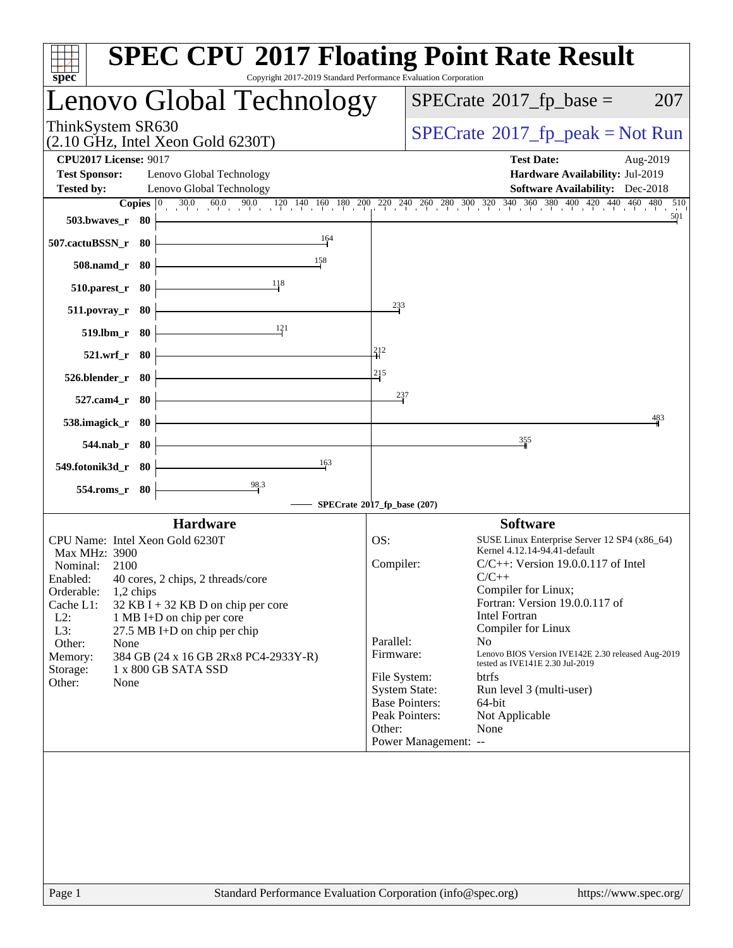| <b>SPEC CPU®2017 Floating Point Rate Result</b><br>Copyright 2017-2019 Standard Performance Evaluation Corporation<br>spec <sup>®</sup>                                                                                                                                                                                                                                                                                                                                                               |                                                                                                                                                                                                                                                                                                                                                                                                                                                                                                                                                  |
|-------------------------------------------------------------------------------------------------------------------------------------------------------------------------------------------------------------------------------------------------------------------------------------------------------------------------------------------------------------------------------------------------------------------------------------------------------------------------------------------------------|--------------------------------------------------------------------------------------------------------------------------------------------------------------------------------------------------------------------------------------------------------------------------------------------------------------------------------------------------------------------------------------------------------------------------------------------------------------------------------------------------------------------------------------------------|
| Lenovo Global Technology                                                                                                                                                                                                                                                                                                                                                                                                                                                                              | $SPECrate^{\circ}2017$ _fp_base =<br>207                                                                                                                                                                                                                                                                                                                                                                                                                                                                                                         |
| ThinkSystem SR630<br>$(2.10 \text{ GHz}, \text{Intel Xeon Gold } 6230 \text{T})$                                                                                                                                                                                                                                                                                                                                                                                                                      | $SPECrate^{\circ}2017rfp peak = Not Run$                                                                                                                                                                                                                                                                                                                                                                                                                                                                                                         |
| <b>CPU2017 License: 9017</b><br><b>Test Sponsor:</b><br>Lenovo Global Technology<br><b>Tested by:</b><br>Lenovo Global Technology                                                                                                                                                                                                                                                                                                                                                                     | <b>Test Date:</b><br>Aug-2019<br>Hardware Availability: Jul-2019<br><b>Software Availability:</b> Dec-2018                                                                                                                                                                                                                                                                                                                                                                                                                                       |
| Copies $\boxed{0}$<br>503.bwayes_r 80<br>164<br>507.cactuBSSN_r 80<br>158<br>508.namd_r 80                                                                                                                                                                                                                                                                                                                                                                                                            | $30.0$ $60.0$ $90.0$ $120$ $140$ $160$ $180$ $200$ $220$ $240$ $260$ $280$ $300$ $320$ $340$ $360$ $380$ $400$ $420$ $440$ $460$ $480$ $510$<br>501                                                                                                                                                                                                                                                                                                                                                                                              |
| 118<br>$510.parest_r$ 80<br>233<br>511.povray_r 80<br>121<br>519.lbm_r 80<br>212<br>521.wrf_r 80<br>215                                                                                                                                                                                                                                                                                                                                                                                               |                                                                                                                                                                                                                                                                                                                                                                                                                                                                                                                                                  |
| 526.blender_r 80<br>237<br>527.cam4_r 80<br>538.imagick_r 80<br>$544$ .nab $r$ 80                                                                                                                                                                                                                                                                                                                                                                                                                     | 483<br>355                                                                                                                                                                                                                                                                                                                                                                                                                                                                                                                                       |
| 163<br>549.fotonik3d_r 80<br>98.3<br>554.roms_r 80<br>SPECrate®2017_fp_base (207)                                                                                                                                                                                                                                                                                                                                                                                                                     |                                                                                                                                                                                                                                                                                                                                                                                                                                                                                                                                                  |
| <b>Hardware</b><br>CPU Name: Intel Xeon Gold 6230T<br>OS:<br>Max MHz: 3900<br>Compiler:<br>Nominal:<br>2100<br>Enabled: 40 cores, 2 chips, 2 threads/core<br>Orderable:<br>1,2 chips<br>Cache L1:<br>$32$ KB I + 32 KB D on chip per core<br>$L2$ :<br>1 MB I+D on chip per core<br>L3:<br>27.5 MB I+D on chip per chip<br>Parallel:<br>Other:<br>None<br>Firmware:<br>384 GB (24 x 16 GB 2Rx8 PC4-2933Y-R)<br>Memory:<br>1 x 800 GB SATA SSD<br>Storage:<br>File System:<br>Other:<br>None<br>Other: | <b>Software</b><br>SUSE Linux Enterprise Server 12 SP4 (x86_64)<br>Kernel 4.12.14-94.41-default<br>$C/C++$ : Version 19.0.0.117 of Intel<br>$C/C++$<br>Compiler for Linux;<br>Fortran: Version 19.0.0.117 of<br><b>Intel Fortran</b><br>Compiler for Linux<br>N <sub>o</sub><br>Lenovo BIOS Version IVE142E 2.30 released Aug-2019<br>tested as IVE141E 2.30 Jul-2019<br><b>btrfs</b><br><b>System State:</b><br>Run level 3 (multi-user)<br><b>Base Pointers:</b><br>64-bit<br>Peak Pointers:<br>Not Applicable<br>None<br>Power Management: -- |
| Standard Performance Evaluation Corporation (info@spec.org)<br>Page 1                                                                                                                                                                                                                                                                                                                                                                                                                                 | https://www.spec.org/                                                                                                                                                                                                                                                                                                                                                                                                                                                                                                                            |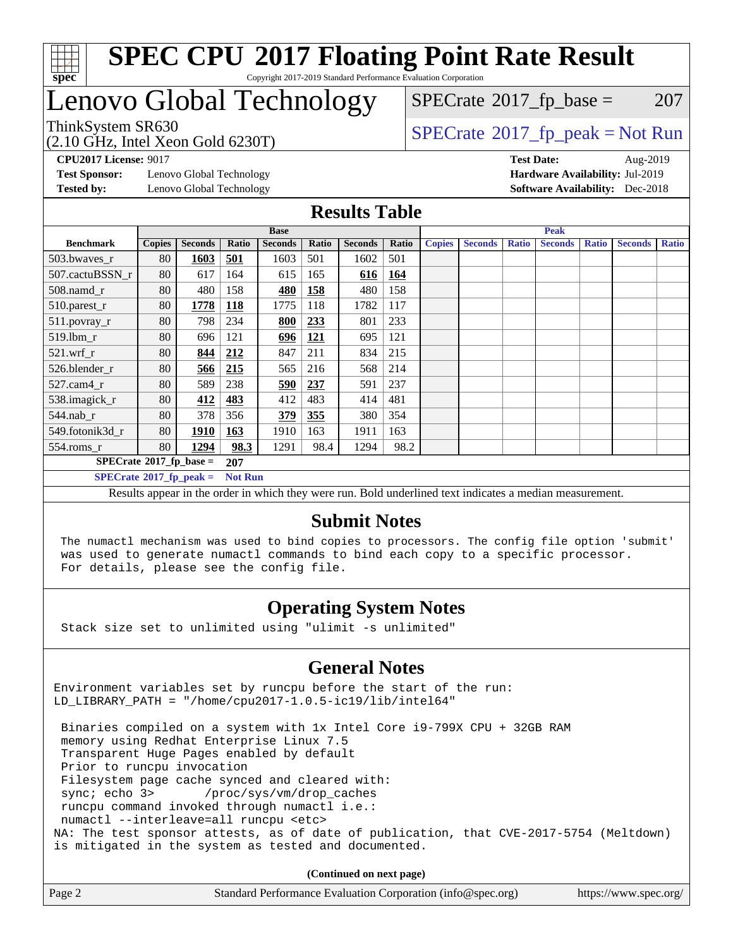

### **[SPEC CPU](http://www.spec.org/auto/cpu2017/Docs/result-fields.html#SPECCPU2017FloatingPointRateResult)[2017 Floating Point Rate Result](http://www.spec.org/auto/cpu2017/Docs/result-fields.html#SPECCPU2017FloatingPointRateResult)** Copyright 2017-2019 Standard Performance Evaluation Corporation

# Lenovo Global Technology

 $SPECTate$ <sup>®</sup>[2017\\_fp\\_base =](http://www.spec.org/auto/cpu2017/Docs/result-fields.html#SPECrate2017fpbase) 207

(2.10 GHz, Intel Xeon Gold 6230T)

 $SPECTate@2017_fp\_peak = Not Run$ 

**[Test Sponsor:](http://www.spec.org/auto/cpu2017/Docs/result-fields.html#TestSponsor)** Lenovo Global Technology **[Hardware Availability:](http://www.spec.org/auto/cpu2017/Docs/result-fields.html#HardwareAvailability)** Jul-2019 **[Tested by:](http://www.spec.org/auto/cpu2017/Docs/result-fields.html#Testedby)** Lenovo Global Technology **[Software Availability:](http://www.spec.org/auto/cpu2017/Docs/result-fields.html#SoftwareAvailability)** Dec-2018

**[CPU2017 License:](http://www.spec.org/auto/cpu2017/Docs/result-fields.html#CPU2017License)** 9017 **[Test Date:](http://www.spec.org/auto/cpu2017/Docs/result-fields.html#TestDate)** Aug-2019

### **[Results Table](http://www.spec.org/auto/cpu2017/Docs/result-fields.html#ResultsTable)**

|                                        | <b>Base</b>   |                |                |                |       | <b>Peak</b>    |       |               |                |              |                |              |                |              |
|----------------------------------------|---------------|----------------|----------------|----------------|-------|----------------|-------|---------------|----------------|--------------|----------------|--------------|----------------|--------------|
| <b>Benchmark</b>                       | <b>Copies</b> | <b>Seconds</b> | Ratio          | <b>Seconds</b> | Ratio | <b>Seconds</b> | Ratio | <b>Copies</b> | <b>Seconds</b> | <b>Ratio</b> | <b>Seconds</b> | <b>Ratio</b> | <b>Seconds</b> | <b>Ratio</b> |
| 503.bwayes_r                           | 80            | 1603           | <u>501</u>     | 1603           | 501   | 1602           | 501   |               |                |              |                |              |                |              |
| 507.cactuBSSN r                        | 80            | 617            | 164            | 615            | 165   | 616            | 164   |               |                |              |                |              |                |              |
| $508$ .namd $r$                        | 80            | 480            | 158            | 480            | 158   | 480            | 158   |               |                |              |                |              |                |              |
| 510.parest_r                           | 80            | 1778           | <b>118</b>     | 1775           | 118   | 1782           | 117   |               |                |              |                |              |                |              |
| 511.povray_r                           | 80            | 798            | 234            | 800            | 233   | 801            | 233   |               |                |              |                |              |                |              |
| 519.lbm r                              | 80            | 696            | 121            | 696            | 121   | 695            | 121   |               |                |              |                |              |                |              |
| $521$ .wrf $r$                         | 80            | 844            | 212            | 847            | 211   | 834            | 215   |               |                |              |                |              |                |              |
| 526.blender r                          | 80            | <u>566</u>     | 215            | 565            | 216   | 568            | 214   |               |                |              |                |              |                |              |
| $527$ .cam $4r$                        | 80            | 589            | 238            | 590            | 237   | 591            | 237   |               |                |              |                |              |                |              |
| 538.imagick_r                          | 80            | 412            | 483            | 412            | 483   | 414            | 481   |               |                |              |                |              |                |              |
| 544.nab r                              | 80            | 378            | 356            | 379            | 355   | 380            | 354   |               |                |              |                |              |                |              |
| 549.fotonik3d r                        | 80            | 1910           | 163            | 1910           | 163   | 1911           | 163   |               |                |              |                |              |                |              |
| $554$ .roms_r                          | 80            | 1294           | 98.3           | 1291           | 98.4  | 1294           | 98.2  |               |                |              |                |              |                |              |
| $SPECrate$ <sup>®</sup> 2017_fp_base = |               |                | 207            |                |       |                |       |               |                |              |                |              |                |              |
| $SPECrate^{\circ}2017$ _fp_peak =      |               |                | <b>Not Run</b> |                |       |                |       |               |                |              |                |              |                |              |

Results appear in the [order in which they were run.](http://www.spec.org/auto/cpu2017/Docs/result-fields.html#RunOrder) Bold underlined text [indicates a median measurement.](http://www.spec.org/auto/cpu2017/Docs/result-fields.html#Median)

### **[Submit Notes](http://www.spec.org/auto/cpu2017/Docs/result-fields.html#SubmitNotes)**

 The numactl mechanism was used to bind copies to processors. The config file option 'submit' was used to generate numactl commands to bind each copy to a specific processor. For details, please see the config file.

## **[Operating System Notes](http://www.spec.org/auto/cpu2017/Docs/result-fields.html#OperatingSystemNotes)**

Stack size set to unlimited using "ulimit -s unlimited"

## **[General Notes](http://www.spec.org/auto/cpu2017/Docs/result-fields.html#GeneralNotes)**

Environment variables set by runcpu before the start of the run: LD\_LIBRARY\_PATH = "/home/cpu2017-1.0.5-ic19/lib/intel64"

 Binaries compiled on a system with 1x Intel Core i9-799X CPU + 32GB RAM memory using Redhat Enterprise Linux 7.5 Transparent Huge Pages enabled by default Prior to runcpu invocation Filesystem page cache synced and cleared with: sync; echo 3> /proc/sys/vm/drop\_caches runcpu command invoked through numactl i.e.: numactl --interleave=all runcpu <etc> NA: The test sponsor attests, as of date of publication, that CVE-2017-5754 (Meltdown) is mitigated in the system as tested and documented.

**(Continued on next page)**

| Page 2 | Standard Performance Evaluation Corporation (info@spec.org) | https://www.spec.org/ |
|--------|-------------------------------------------------------------|-----------------------|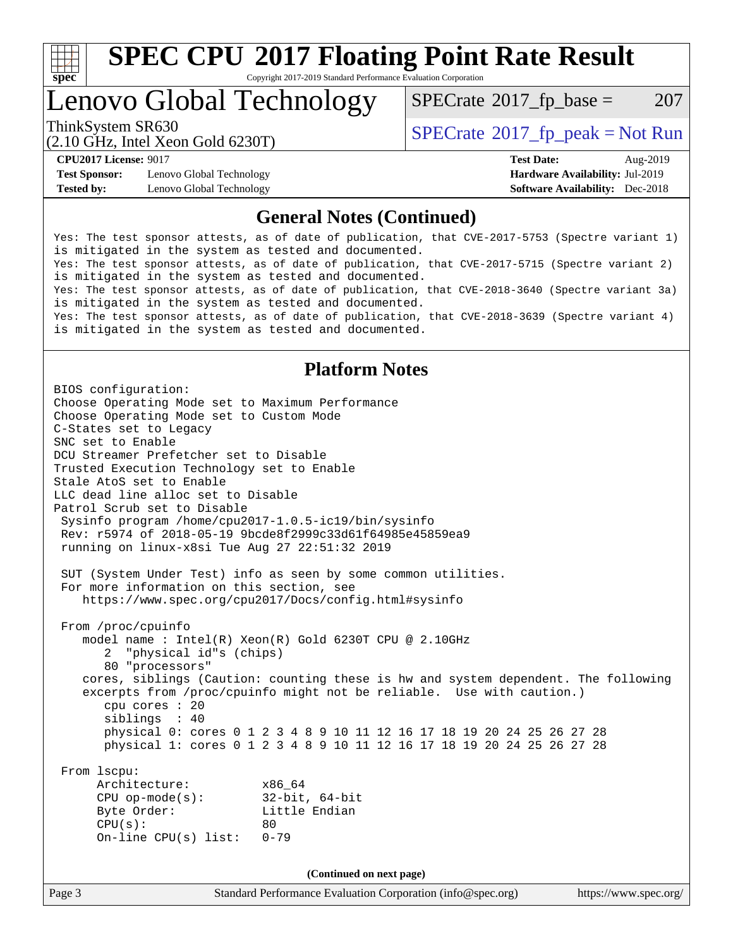

# **[SPEC CPU](http://www.spec.org/auto/cpu2017/Docs/result-fields.html#SPECCPU2017FloatingPointRateResult)[2017 Floating Point Rate Result](http://www.spec.org/auto/cpu2017/Docs/result-fields.html#SPECCPU2017FloatingPointRateResult)**

Copyright 2017-2019 Standard Performance Evaluation Corporation

# Lenovo Global Technology

 $SPECTate$ <sup>®</sup>[2017\\_fp\\_base =](http://www.spec.org/auto/cpu2017/Docs/result-fields.html#SPECrate2017fpbase) 207

(2.10 GHz, Intel Xeon Gold 6230T)

ThinkSystem SR630<br>  $SPECTA = Not Run$ <br>  $SPECTA = Not Run$ 

**[Test Sponsor:](http://www.spec.org/auto/cpu2017/Docs/result-fields.html#TestSponsor)** Lenovo Global Technology **[Hardware Availability:](http://www.spec.org/auto/cpu2017/Docs/result-fields.html#HardwareAvailability)** Jul-2019 **[Tested by:](http://www.spec.org/auto/cpu2017/Docs/result-fields.html#Testedby)** Lenovo Global Technology **[Software Availability:](http://www.spec.org/auto/cpu2017/Docs/result-fields.html#SoftwareAvailability)** Dec-2018

**[CPU2017 License:](http://www.spec.org/auto/cpu2017/Docs/result-fields.html#CPU2017License)** 9017 **[Test Date:](http://www.spec.org/auto/cpu2017/Docs/result-fields.html#TestDate)** Aug-2019

### **[General Notes \(Continued\)](http://www.spec.org/auto/cpu2017/Docs/result-fields.html#GeneralNotes)**

Yes: The test sponsor attests, as of date of publication, that CVE-2017-5753 (Spectre variant 1) is mitigated in the system as tested and documented. Yes: The test sponsor attests, as of date of publication, that CVE-2017-5715 (Spectre variant 2) is mitigated in the system as tested and documented. Yes: The test sponsor attests, as of date of publication, that CVE-2018-3640 (Spectre variant 3a) is mitigated in the system as tested and documented. Yes: The test sponsor attests, as of date of publication, that CVE-2018-3639 (Spectre variant 4) is mitigated in the system as tested and documented.

## **[Platform Notes](http://www.spec.org/auto/cpu2017/Docs/result-fields.html#PlatformNotes)**

Page 3 Standard Performance Evaluation Corporation [\(info@spec.org\)](mailto:info@spec.org) <https://www.spec.org/> BIOS configuration: Choose Operating Mode set to Maximum Performance Choose Operating Mode set to Custom Mode C-States set to Legacy SNC set to Enable DCU Streamer Prefetcher set to Disable Trusted Execution Technology set to Enable Stale AtoS set to Enable LLC dead line alloc set to Disable Patrol Scrub set to Disable Sysinfo program /home/cpu2017-1.0.5-ic19/bin/sysinfo Rev: r5974 of 2018-05-19 9bcde8f2999c33d61f64985e45859ea9 running on linux-x8si Tue Aug 27 22:51:32 2019 SUT (System Under Test) info as seen by some common utilities. For more information on this section, see <https://www.spec.org/cpu2017/Docs/config.html#sysinfo> From /proc/cpuinfo model name : Intel(R) Xeon(R) Gold 6230T CPU @ 2.10GHz 2 "physical id"s (chips) 80 "processors" cores, siblings (Caution: counting these is hw and system dependent. The following excerpts from /proc/cpuinfo might not be reliable. Use with caution.) cpu cores : 20 siblings : 40 physical 0: cores 0 1 2 3 4 8 9 10 11 12 16 17 18 19 20 24 25 26 27 28 physical 1: cores 0 1 2 3 4 8 9 10 11 12 16 17 18 19 20 24 25 26 27 28 From lscpu: Architecture: x86\_64 CPU op-mode(s): 32-bit, 64-bit Byte Order: Little Endian  $CPU(s):$  80 On-line CPU(s) list: 0-79 **(Continued on next page)**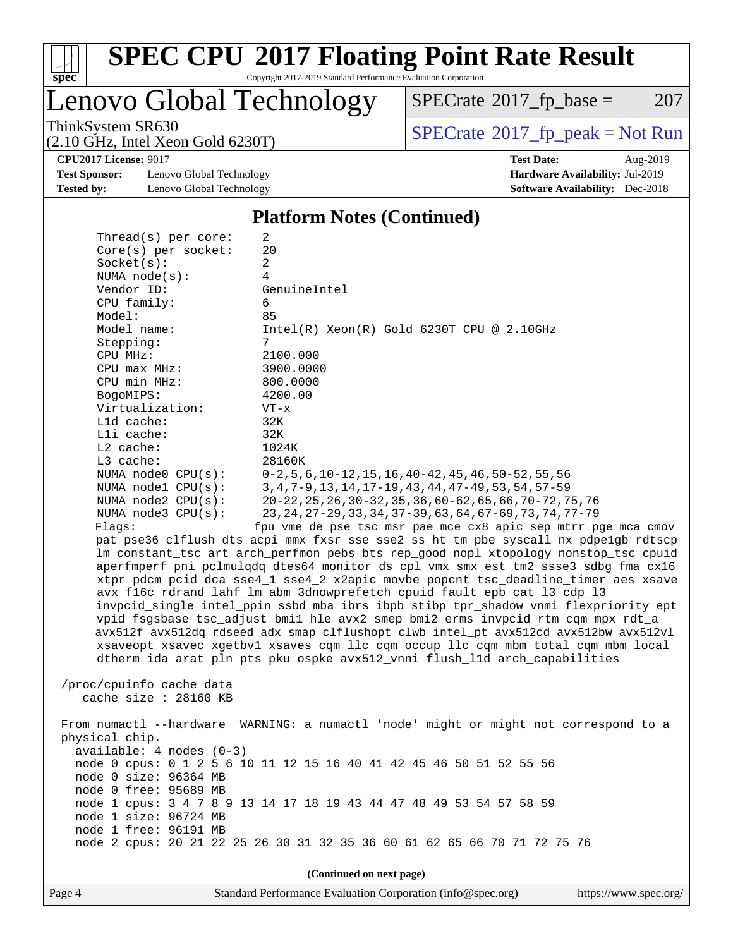

# **[SPEC CPU](http://www.spec.org/auto/cpu2017/Docs/result-fields.html#SPECCPU2017FloatingPointRateResult)[2017 Floating Point Rate Result](http://www.spec.org/auto/cpu2017/Docs/result-fields.html#SPECCPU2017FloatingPointRateResult)**

Copyright 2017-2019 Standard Performance Evaluation Corporation

Lenovo Global Technology

 $SPECrate$ <sup>®</sup>[2017\\_fp\\_base =](http://www.spec.org/auto/cpu2017/Docs/result-fields.html#SPECrate2017fpbase) 207

(2.10 GHz, Intel Xeon Gold 6230T)

ThinkSystem SR630<br>
(2.10 GHz, Intel Yean Gold 6230T)<br> [SPECrate](http://www.spec.org/auto/cpu2017/Docs/result-fields.html#SPECrate2017fppeak)®[2017\\_fp\\_peak = N](http://www.spec.org/auto/cpu2017/Docs/result-fields.html#SPECrate2017fppeak)ot Run

**[CPU2017 License:](http://www.spec.org/auto/cpu2017/Docs/result-fields.html#CPU2017License)** 9017 **[Test Date:](http://www.spec.org/auto/cpu2017/Docs/result-fields.html#TestDate)** Aug-2019

**[Test Sponsor:](http://www.spec.org/auto/cpu2017/Docs/result-fields.html#TestSponsor)** Lenovo Global Technology **[Hardware Availability:](http://www.spec.org/auto/cpu2017/Docs/result-fields.html#HardwareAvailability)** Jul-2019 **[Tested by:](http://www.spec.org/auto/cpu2017/Docs/result-fields.html#Testedby)** Lenovo Global Technology **[Software Availability:](http://www.spec.org/auto/cpu2017/Docs/result-fields.html#SoftwareAvailability)** Dec-2018

**[Platform Notes \(Continued\)](http://www.spec.org/auto/cpu2017/Docs/result-fields.html#PlatformNotes)**

| Thread(s) per core:                                                 | 2                                                                                    |  |  |  |  |
|---------------------------------------------------------------------|--------------------------------------------------------------------------------------|--|--|--|--|
| Core(s) per socket:                                                 | 20                                                                                   |  |  |  |  |
| Socket(s):                                                          | 2                                                                                    |  |  |  |  |
| NUMA $node(s):$                                                     | 4                                                                                    |  |  |  |  |
| Vendor ID:                                                          | GenuineIntel                                                                         |  |  |  |  |
| CPU family:                                                         | 6                                                                                    |  |  |  |  |
| Model:                                                              | 85                                                                                   |  |  |  |  |
| Model name:                                                         | $Intel(R)$ Xeon $(R)$ Gold 6230T CPU @ 2.10GHz                                       |  |  |  |  |
| Stepping:                                                           | 7                                                                                    |  |  |  |  |
| CPU MHz:                                                            | 2100.000                                                                             |  |  |  |  |
| $CPU$ max $MHz$ :                                                   | 3900.0000                                                                            |  |  |  |  |
| CPU min MHz:                                                        | 800.0000                                                                             |  |  |  |  |
| BogoMIPS:                                                           | 4200.00                                                                              |  |  |  |  |
| Virtualization:                                                     | $VT - x$                                                                             |  |  |  |  |
| L1d cache:<br>Lli cache:                                            | 32K<br>32K                                                                           |  |  |  |  |
| $L2$ cache:                                                         | 1024K                                                                                |  |  |  |  |
| L3 cache:                                                           | 28160K                                                                               |  |  |  |  |
| NUMA $node0$ $CPU(s)$ :                                             | $0-2, 5, 6, 10-12, 15, 16, 40-42, 45, 46, 50-52, 55, 56$                             |  |  |  |  |
| NUMA $node1$ $CPU(s):$                                              | 3, 4, 7-9, 13, 14, 17-19, 43, 44, 47-49, 53, 54, 57-59                               |  |  |  |  |
| NUMA $node2$ $CPU(s)$ :                                             | 20-22, 25, 26, 30-32, 35, 36, 60-62, 65, 66, 70-72, 75, 76                           |  |  |  |  |
| NUMA $node3$ $CPU(s):$                                              | 23, 24, 27-29, 33, 34, 37-39, 63, 64, 67-69, 73, 74, 77-79                           |  |  |  |  |
| Flaqs:                                                              | fpu vme de pse tsc msr pae mce cx8 apic sep mtrr pge mca cmov                        |  |  |  |  |
|                                                                     | pat pse36 clflush dts acpi mmx fxsr sse sse2 ss ht tm pbe syscall nx pdpelgb rdtscp  |  |  |  |  |
|                                                                     | lm constant_tsc art arch_perfmon pebs bts rep_good nopl xtopology nonstop_tsc cpuid  |  |  |  |  |
|                                                                     | aperfmperf pni pclmulqdq dtes64 monitor ds_cpl vmx smx est tm2 ssse3 sdbg fma cx16   |  |  |  |  |
|                                                                     | xtpr pdcm pcid dca sse4_1 sse4_2 x2apic movbe popcnt tsc_deadline_timer aes xsave    |  |  |  |  |
|                                                                     | avx f16c rdrand lahf_lm abm 3dnowprefetch cpuid_fault epb cat_13 cdp_13              |  |  |  |  |
|                                                                     | invpcid_single intel_ppin ssbd mba ibrs ibpb stibp tpr_shadow vnmi flexpriority ept  |  |  |  |  |
|                                                                     | vpid fsgsbase tsc_adjust bmil hle avx2 smep bmi2 erms invpcid rtm cqm mpx rdt_a      |  |  |  |  |
|                                                                     | avx512f avx512dq rdseed adx smap clflushopt clwb intel_pt avx512cd avx512bw avx512vl |  |  |  |  |
|                                                                     | xsaveopt xsavec xgetbvl xsaves cqm_llc cqm_occup_llc cqm_mbm_total cqm_mbm_local     |  |  |  |  |
|                                                                     | dtherm ida arat pln pts pku ospke avx512_vnni flush_lld arch_capabilities            |  |  |  |  |
|                                                                     |                                                                                      |  |  |  |  |
| /proc/cpuinfo cache data                                            |                                                                                      |  |  |  |  |
| cache size $: 28160$ KB                                             |                                                                                      |  |  |  |  |
|                                                                     |                                                                                      |  |  |  |  |
|                                                                     | From numactl --hardware WARNING: a numactl 'node' might or might not correspond to a |  |  |  |  |
| physical chip.                                                      |                                                                                      |  |  |  |  |
| $available: 4 nodes (0-3)$                                          |                                                                                      |  |  |  |  |
| node 0 cpus: 0 1 2 5 6 10 11 12 15 16 40 41 42 45 46 50 51 52 55 56 |                                                                                      |  |  |  |  |
| node 0 size: 96364 MB                                               |                                                                                      |  |  |  |  |
| node 0 free: 95689 MB                                               |                                                                                      |  |  |  |  |
| node 1 cpus: 3 4 7 8 9 13 14 17 18 19 43 44 47 48 49 53 54 57 58 59 |                                                                                      |  |  |  |  |
| node 1 size: 96724 MB                                               |                                                                                      |  |  |  |  |
| node 1 free: 96191 MB                                               |                                                                                      |  |  |  |  |
|                                                                     | node 2 cpus: 20 21 22 25 26 30 31 32 35 36 60 61 62 65 66 70 71 72 75 76             |  |  |  |  |
|                                                                     |                                                                                      |  |  |  |  |
| (Continued on next page)                                            |                                                                                      |  |  |  |  |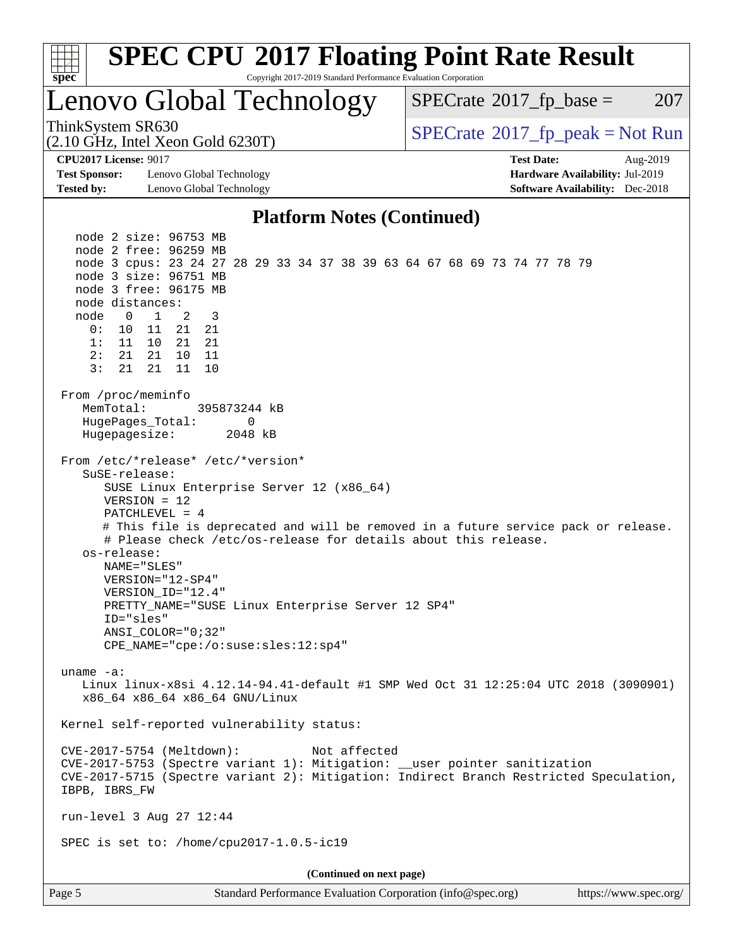| <b>SPEC CPU®2017 Floating Point Rate Result</b><br>spec<br>Copyright 2017-2019 Standard Performance Evaluation Corporation                                                                                                                                                                                                                                                                                                                                                                                                                                                                                                                                                                                                                                                                                                                                                                                                                                                                                                                                                                                                                                                           |                                            |
|--------------------------------------------------------------------------------------------------------------------------------------------------------------------------------------------------------------------------------------------------------------------------------------------------------------------------------------------------------------------------------------------------------------------------------------------------------------------------------------------------------------------------------------------------------------------------------------------------------------------------------------------------------------------------------------------------------------------------------------------------------------------------------------------------------------------------------------------------------------------------------------------------------------------------------------------------------------------------------------------------------------------------------------------------------------------------------------------------------------------------------------------------------------------------------------|--------------------------------------------|
| Lenovo Global Technology                                                                                                                                                                                                                                                                                                                                                                                                                                                                                                                                                                                                                                                                                                                                                                                                                                                                                                                                                                                                                                                                                                                                                             | 207<br>$SPECrate^{\otimes}2017$ _fp_base = |
| ThinkSystem SR630<br>$(2.10 \text{ GHz}, \text{Intel Xeon Gold } 6230 \text{T})$                                                                                                                                                                                                                                                                                                                                                                                                                                                                                                                                                                                                                                                                                                                                                                                                                                                                                                                                                                                                                                                                                                     | $SPECrate^{\circ}2017rfp peak = Not Run$   |
| <b>CPU2017 License: 9017</b>                                                                                                                                                                                                                                                                                                                                                                                                                                                                                                                                                                                                                                                                                                                                                                                                                                                                                                                                                                                                                                                                                                                                                         | <b>Test Date:</b><br>Aug-2019              |
| <b>Test Sponsor:</b><br>Lenovo Global Technology                                                                                                                                                                                                                                                                                                                                                                                                                                                                                                                                                                                                                                                                                                                                                                                                                                                                                                                                                                                                                                                                                                                                     | Hardware Availability: Jul-2019            |
| <b>Tested by:</b><br>Lenovo Global Technology                                                                                                                                                                                                                                                                                                                                                                                                                                                                                                                                                                                                                                                                                                                                                                                                                                                                                                                                                                                                                                                                                                                                        | <b>Software Availability:</b> Dec-2018     |
| <b>Platform Notes (Continued)</b>                                                                                                                                                                                                                                                                                                                                                                                                                                                                                                                                                                                                                                                                                                                                                                                                                                                                                                                                                                                                                                                                                                                                                    |                                            |
| node 2 size: 96753 MB<br>node 2 free: 96259 MB<br>node 3 cpus: 23 24 27 28 29 33 34 37 38 39 63 64 67 68 69 73 74 77 78 79<br>node 3 size: 96751 MB<br>node 3 free: 96175 MB<br>node distances:<br>node<br>$\overline{1}$<br>$\mathbf{0}$<br>2<br>3<br>0:<br>11<br>21<br>10<br>21<br>21<br>21<br>1:<br>11 10<br>2:<br>21<br>10<br>21<br>11<br>21<br>10<br>3:<br>21<br>11<br>From /proc/meminfo<br>MemTotal:<br>395873244 kB<br>HugePages_Total:<br>0<br>Hugepagesize:<br>2048 kB<br>From /etc/*release* /etc/*version*<br>SuSE-release:<br>SUSE Linux Enterprise Server 12 (x86_64)<br>$VERSION = 12$<br>$PATCHLEVEL = 4$<br># This file is deprecated and will be removed in a future service pack or release.<br># Please check /etc/os-release for details about this release.<br>os-release:<br>NAME="SLES"<br>VERSION="12-SP4"<br>VERSION_ID="12.4"<br>PRETTY_NAME="SUSE Linux Enterprise Server 12 SP4"<br>ID="sles"<br>ANSI COLOR="0;32"<br>$CPE\_NAME = "cpe://o:suse: sles:12:sp4"$<br>uname $-a$ :<br>Linux linux-x8si 4.12.14-94.41-default #1 SMP Wed Oct 31 12:25:04 UTC 2018 (3090901)<br>x86_64 x86_64 x86_64 GNU/Linux<br>Kernel self-reported vulnerability status: |                                            |
| Not affected<br>CVE-2017-5754 (Meltdown):<br>CVE-2017-5753 (Spectre variant 1): Mitigation: __user pointer sanitization<br>CVE-2017-5715 (Spectre variant 2): Mitigation: Indirect Branch Restricted Speculation,<br>IBPB, IBRS FW                                                                                                                                                                                                                                                                                                                                                                                                                                                                                                                                                                                                                                                                                                                                                                                                                                                                                                                                                   |                                            |
| run-level 3 Aug 27 12:44                                                                                                                                                                                                                                                                                                                                                                                                                                                                                                                                                                                                                                                                                                                                                                                                                                                                                                                                                                                                                                                                                                                                                             |                                            |
| SPEC is set to: /home/cpu2017-1.0.5-ic19                                                                                                                                                                                                                                                                                                                                                                                                                                                                                                                                                                                                                                                                                                                                                                                                                                                                                                                                                                                                                                                                                                                                             |                                            |
| (Continued on next page)                                                                                                                                                                                                                                                                                                                                                                                                                                                                                                                                                                                                                                                                                                                                                                                                                                                                                                                                                                                                                                                                                                                                                             |                                            |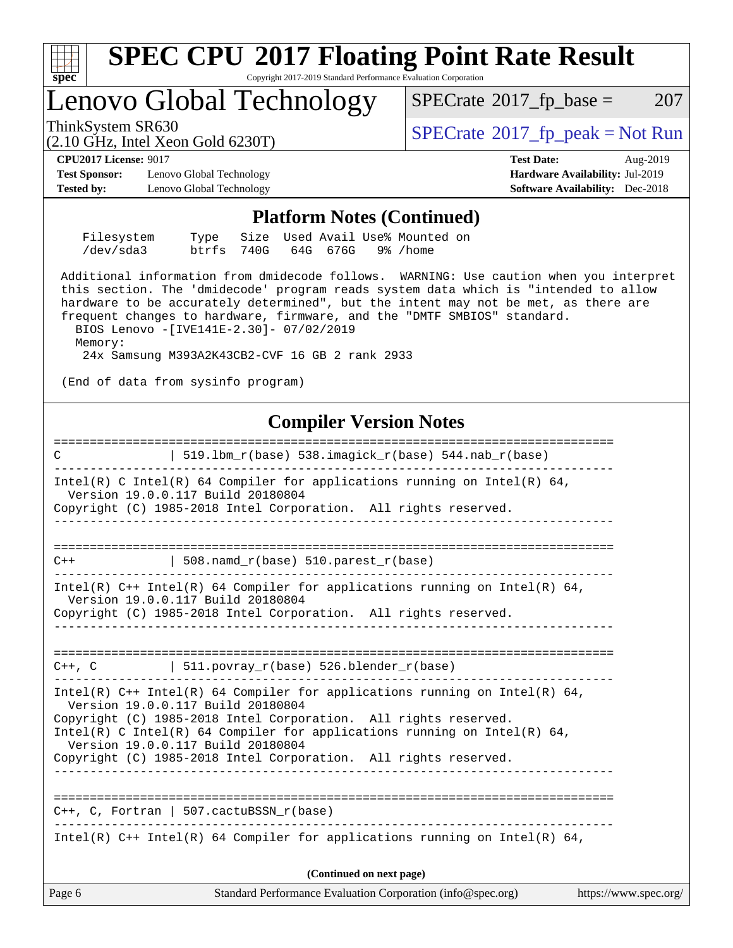

Page 6 Standard Performance Evaluation Corporation [\(info@spec.org\)](mailto:info@spec.org) <https://www.spec.org/>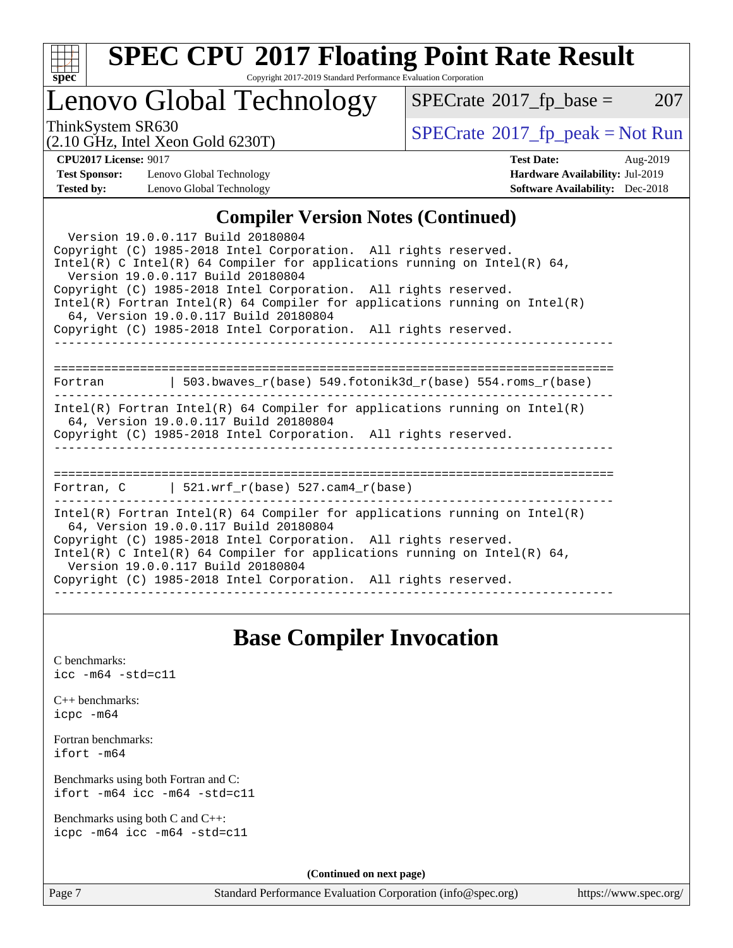

# **[SPEC CPU](http://www.spec.org/auto/cpu2017/Docs/result-fields.html#SPECCPU2017FloatingPointRateResult)[2017 Floating Point Rate Result](http://www.spec.org/auto/cpu2017/Docs/result-fields.html#SPECCPU2017FloatingPointRateResult)**

Copyright 2017-2019 Standard Performance Evaluation Corporation

## Lenovo Global Technology

 $SPECTate@2017_fp\_base = 207$ 

(2.10 GHz, Intel Xeon Gold 6230T)

ThinkSystem SR630<br>  $\begin{array}{c}\n\text{SPECrate} \textcirc 2017\_fp\_peak = Not Run \\
\text{SPECrate} \textcirc 2017\_fp\_peak = Not Run\n\end{array}$  $\begin{array}{c}\n\text{SPECrate} \textcirc 2017\_fp\_peak = Not Run \\
\text{SPECrate} \textcirc 2017\_fp\_peak = Not Run\n\end{array}$  $\begin{array}{c}\n\text{SPECrate} \textcirc 2017\_fp\_peak = Not Run \\
\text{SPECrate} \textcirc 2017\_fp\_peak = Not Run\n\end{array}$ 

**[Test Sponsor:](http://www.spec.org/auto/cpu2017/Docs/result-fields.html#TestSponsor)** Lenovo Global Technology **[Hardware Availability:](http://www.spec.org/auto/cpu2017/Docs/result-fields.html#HardwareAvailability)** Jul-2019 **[Tested by:](http://www.spec.org/auto/cpu2017/Docs/result-fields.html#Testedby)** Lenovo Global Technology **[Software Availability:](http://www.spec.org/auto/cpu2017/Docs/result-fields.html#SoftwareAvailability)** Dec-2018

**[CPU2017 License:](http://www.spec.org/auto/cpu2017/Docs/result-fields.html#CPU2017License)** 9017 **[Test Date:](http://www.spec.org/auto/cpu2017/Docs/result-fields.html#TestDate)** Aug-2019

## **[Compiler Version Notes \(Continued\)](http://www.spec.org/auto/cpu2017/Docs/result-fields.html#CompilerVersionNotes)**

| Version 19.0.0.117 Build 20180804<br>Copyright (C) 1985-2018 Intel Corporation. All rights reserved.<br>Intel(R) C Intel(R) 64 Compiler for applications running on Intel(R) 64,<br>Version 19.0.0.117 Build 20180804<br>Copyright (C) 1985-2018 Intel Corporation. All rights reserved.<br>Intel(R) Fortran Intel(R) 64 Compiler for applications running on Intel(R)<br>64, Version 19.0.0.117 Build 20180804<br>Copyright (C) 1985-2018 Intel Corporation. All rights reserved. |  |  |  |  |
|------------------------------------------------------------------------------------------------------------------------------------------------------------------------------------------------------------------------------------------------------------------------------------------------------------------------------------------------------------------------------------------------------------------------------------------------------------------------------------|--|--|--|--|
| Fortran 		   503.bwaves_r(base) 549.fotonik3d_r(base) 554.roms_r(base)                                                                                                                                                                                                                                                                                                                                                                                                             |  |  |  |  |
| Intel(R) Fortran Intel(R) 64 Compiler for applications running on Intel(R)<br>64, Version 19.0.0.117 Build 20180804<br>Copyright (C) 1985-2018 Intel Corporation. All rights reserved.                                                                                                                                                                                                                                                                                             |  |  |  |  |
| Fortran, C $\vert$ 521.wrf r(base) 527.cam4 r(base)                                                                                                                                                                                                                                                                                                                                                                                                                                |  |  |  |  |
| $Intel(R)$ Fortran Intel(R) 64 Compiler for applications running on Intel(R)<br>64, Version 19.0.0.117 Build 20180804<br>Copyright (C) 1985-2018 Intel Corporation. All rights reserved.<br>Intel(R) C Intel(R) 64 Compiler for applications running on Intel(R) 64,<br>Version 19.0.0.117 Build 20180804<br>Copyright (C) 1985-2018 Intel Corporation. All rights reserved.                                                                                                       |  |  |  |  |

## **[Base Compiler Invocation](http://www.spec.org/auto/cpu2017/Docs/result-fields.html#BaseCompilerInvocation)**

[C benchmarks](http://www.spec.org/auto/cpu2017/Docs/result-fields.html#Cbenchmarks): [icc -m64 -std=c11](http://www.spec.org/cpu2017/results/res2019q3/cpu2017-20190902-17433.flags.html#user_CCbase_intel_icc_64bit_c11_33ee0cdaae7deeeab2a9725423ba97205ce30f63b9926c2519791662299b76a0318f32ddfffdc46587804de3178b4f9328c46fa7c2b0cd779d7a61945c91cd35)

|           | $C_{++}$ benchmarks: |
|-----------|----------------------|
| icpc -m64 |                      |

[Fortran benchmarks](http://www.spec.org/auto/cpu2017/Docs/result-fields.html#Fortranbenchmarks): [ifort -m64](http://www.spec.org/cpu2017/results/res2019q3/cpu2017-20190902-17433.flags.html#user_FCbase_intel_ifort_64bit_24f2bb282fbaeffd6157abe4f878425411749daecae9a33200eee2bee2fe76f3b89351d69a8130dd5949958ce389cf37ff59a95e7a40d588e8d3a57e0c3fd751)

[Benchmarks using both Fortran and C](http://www.spec.org/auto/cpu2017/Docs/result-fields.html#BenchmarksusingbothFortranandC): [ifort -m64](http://www.spec.org/cpu2017/results/res2019q3/cpu2017-20190902-17433.flags.html#user_CC_FCbase_intel_ifort_64bit_24f2bb282fbaeffd6157abe4f878425411749daecae9a33200eee2bee2fe76f3b89351d69a8130dd5949958ce389cf37ff59a95e7a40d588e8d3a57e0c3fd751) [icc -m64 -std=c11](http://www.spec.org/cpu2017/results/res2019q3/cpu2017-20190902-17433.flags.html#user_CC_FCbase_intel_icc_64bit_c11_33ee0cdaae7deeeab2a9725423ba97205ce30f63b9926c2519791662299b76a0318f32ddfffdc46587804de3178b4f9328c46fa7c2b0cd779d7a61945c91cd35)

[Benchmarks using both C and C++](http://www.spec.org/auto/cpu2017/Docs/result-fields.html#BenchmarksusingbothCandCXX): [icpc -m64](http://www.spec.org/cpu2017/results/res2019q3/cpu2017-20190902-17433.flags.html#user_CC_CXXbase_intel_icpc_64bit_4ecb2543ae3f1412ef961e0650ca070fec7b7afdcd6ed48761b84423119d1bf6bdf5cad15b44d48e7256388bc77273b966e5eb805aefd121eb22e9299b2ec9d9) [icc -m64 -std=c11](http://www.spec.org/cpu2017/results/res2019q3/cpu2017-20190902-17433.flags.html#user_CC_CXXbase_intel_icc_64bit_c11_33ee0cdaae7deeeab2a9725423ba97205ce30f63b9926c2519791662299b76a0318f32ddfffdc46587804de3178b4f9328c46fa7c2b0cd779d7a61945c91cd35)

**(Continued on next page)**

Page 7 Standard Performance Evaluation Corporation [\(info@spec.org\)](mailto:info@spec.org) <https://www.spec.org/>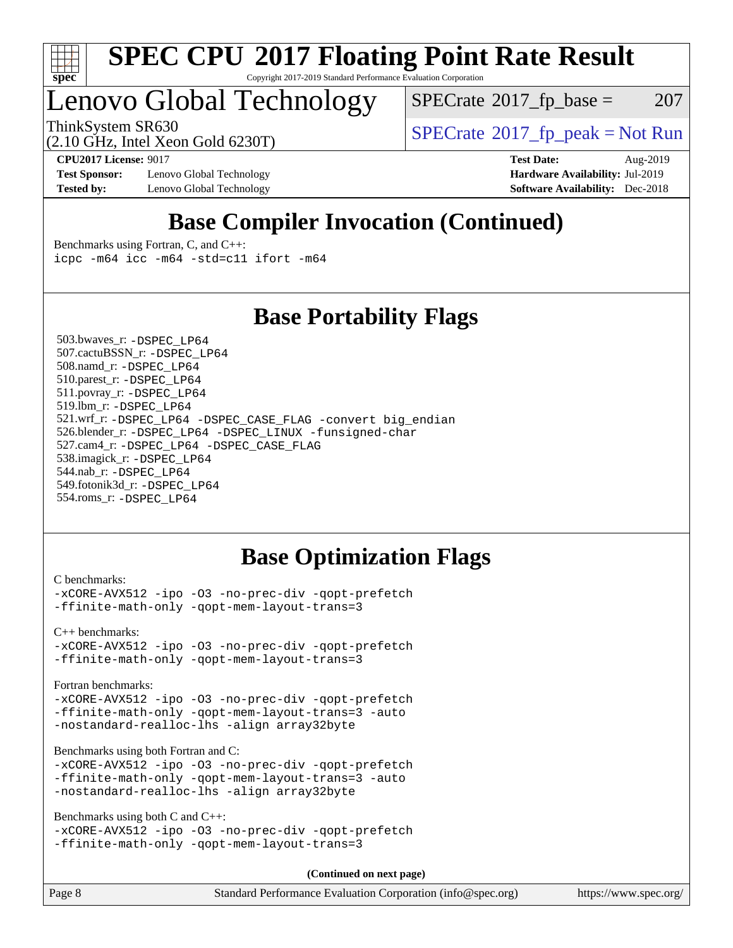

### **[SPEC CPU](http://www.spec.org/auto/cpu2017/Docs/result-fields.html#SPECCPU2017FloatingPointRateResult)[2017 Floating Point Rate Result](http://www.spec.org/auto/cpu2017/Docs/result-fields.html#SPECCPU2017FloatingPointRateResult)** Copyright 2017-2019 Standard Performance Evaluation Corporation

# Lenovo Global Technology

 $SPECTate$ <sup>®</sup>[2017\\_fp\\_base =](http://www.spec.org/auto/cpu2017/Docs/result-fields.html#SPECrate2017fpbase) 207

ThinkSystem SR630<br>  $\begin{array}{c}\n\text{SPECrate} \textcirc 2017\_fp\_peak = Not Run \\
\text{SPECrate} \textcirc 2017\_fp\_peak = Not Run\n\end{array}$  $\begin{array}{c}\n\text{SPECrate} \textcirc 2017\_fp\_peak = Not Run \\
\text{SPECrate} \textcirc 2017\_fp\_peak = Not Run\n\end{array}$  $\begin{array}{c}\n\text{SPECrate} \textcirc 2017\_fp\_peak = Not Run \\
\text{SPECrate} \textcirc 2017\_fp\_peak = Not Run\n\end{array}$ 

**[Test Sponsor:](http://www.spec.org/auto/cpu2017/Docs/result-fields.html#TestSponsor)** Lenovo Global Technology **[Hardware Availability:](http://www.spec.org/auto/cpu2017/Docs/result-fields.html#HardwareAvailability)** Jul-2019 **[Tested by:](http://www.spec.org/auto/cpu2017/Docs/result-fields.html#Testedby)** Lenovo Global Technology **[Software Availability:](http://www.spec.org/auto/cpu2017/Docs/result-fields.html#SoftwareAvailability)** Dec-2018

(2.10 GHz, Intel Xeon Gold 6230T)

**[CPU2017 License:](http://www.spec.org/auto/cpu2017/Docs/result-fields.html#CPU2017License)** 9017 **[Test Date:](http://www.spec.org/auto/cpu2017/Docs/result-fields.html#TestDate)** Aug-2019

## **[Base Compiler Invocation \(Continued\)](http://www.spec.org/auto/cpu2017/Docs/result-fields.html#BaseCompilerInvocation)**

[Benchmarks using Fortran, C, and C++:](http://www.spec.org/auto/cpu2017/Docs/result-fields.html#BenchmarksusingFortranCandCXX) [icpc -m64](http://www.spec.org/cpu2017/results/res2019q3/cpu2017-20190902-17433.flags.html#user_CC_CXX_FCbase_intel_icpc_64bit_4ecb2543ae3f1412ef961e0650ca070fec7b7afdcd6ed48761b84423119d1bf6bdf5cad15b44d48e7256388bc77273b966e5eb805aefd121eb22e9299b2ec9d9) [icc -m64 -std=c11](http://www.spec.org/cpu2017/results/res2019q3/cpu2017-20190902-17433.flags.html#user_CC_CXX_FCbase_intel_icc_64bit_c11_33ee0cdaae7deeeab2a9725423ba97205ce30f63b9926c2519791662299b76a0318f32ddfffdc46587804de3178b4f9328c46fa7c2b0cd779d7a61945c91cd35) [ifort -m64](http://www.spec.org/cpu2017/results/res2019q3/cpu2017-20190902-17433.flags.html#user_CC_CXX_FCbase_intel_ifort_64bit_24f2bb282fbaeffd6157abe4f878425411749daecae9a33200eee2bee2fe76f3b89351d69a8130dd5949958ce389cf37ff59a95e7a40d588e8d3a57e0c3fd751)

## **[Base Portability Flags](http://www.spec.org/auto/cpu2017/Docs/result-fields.html#BasePortabilityFlags)**

 503.bwaves\_r: [-DSPEC\\_LP64](http://www.spec.org/cpu2017/results/res2019q3/cpu2017-20190902-17433.flags.html#suite_basePORTABILITY503_bwaves_r_DSPEC_LP64) 507.cactuBSSN\_r: [-DSPEC\\_LP64](http://www.spec.org/cpu2017/results/res2019q3/cpu2017-20190902-17433.flags.html#suite_basePORTABILITY507_cactuBSSN_r_DSPEC_LP64) 508.namd\_r: [-DSPEC\\_LP64](http://www.spec.org/cpu2017/results/res2019q3/cpu2017-20190902-17433.flags.html#suite_basePORTABILITY508_namd_r_DSPEC_LP64) 510.parest\_r: [-DSPEC\\_LP64](http://www.spec.org/cpu2017/results/res2019q3/cpu2017-20190902-17433.flags.html#suite_basePORTABILITY510_parest_r_DSPEC_LP64) 511.povray\_r: [-DSPEC\\_LP64](http://www.spec.org/cpu2017/results/res2019q3/cpu2017-20190902-17433.flags.html#suite_basePORTABILITY511_povray_r_DSPEC_LP64) 519.lbm\_r: [-DSPEC\\_LP64](http://www.spec.org/cpu2017/results/res2019q3/cpu2017-20190902-17433.flags.html#suite_basePORTABILITY519_lbm_r_DSPEC_LP64) 521.wrf\_r: [-DSPEC\\_LP64](http://www.spec.org/cpu2017/results/res2019q3/cpu2017-20190902-17433.flags.html#suite_basePORTABILITY521_wrf_r_DSPEC_LP64) [-DSPEC\\_CASE\\_FLAG](http://www.spec.org/cpu2017/results/res2019q3/cpu2017-20190902-17433.flags.html#b521.wrf_r_baseCPORTABILITY_DSPEC_CASE_FLAG) [-convert big\\_endian](http://www.spec.org/cpu2017/results/res2019q3/cpu2017-20190902-17433.flags.html#user_baseFPORTABILITY521_wrf_r_convert_big_endian_c3194028bc08c63ac5d04de18c48ce6d347e4e562e8892b8bdbdc0214820426deb8554edfa529a3fb25a586e65a3d812c835984020483e7e73212c4d31a38223) 526.blender\_r: [-DSPEC\\_LP64](http://www.spec.org/cpu2017/results/res2019q3/cpu2017-20190902-17433.flags.html#suite_basePORTABILITY526_blender_r_DSPEC_LP64) [-DSPEC\\_LINUX](http://www.spec.org/cpu2017/results/res2019q3/cpu2017-20190902-17433.flags.html#b526.blender_r_baseCPORTABILITY_DSPEC_LINUX) [-funsigned-char](http://www.spec.org/cpu2017/results/res2019q3/cpu2017-20190902-17433.flags.html#user_baseCPORTABILITY526_blender_r_force_uchar_40c60f00ab013830e2dd6774aeded3ff59883ba5a1fc5fc14077f794d777847726e2a5858cbc7672e36e1b067e7e5c1d9a74f7176df07886a243d7cc18edfe67) 527.cam4\_r: [-DSPEC\\_LP64](http://www.spec.org/cpu2017/results/res2019q3/cpu2017-20190902-17433.flags.html#suite_basePORTABILITY527_cam4_r_DSPEC_LP64) [-DSPEC\\_CASE\\_FLAG](http://www.spec.org/cpu2017/results/res2019q3/cpu2017-20190902-17433.flags.html#b527.cam4_r_baseCPORTABILITY_DSPEC_CASE_FLAG) 538.imagick\_r: [-DSPEC\\_LP64](http://www.spec.org/cpu2017/results/res2019q3/cpu2017-20190902-17433.flags.html#suite_basePORTABILITY538_imagick_r_DSPEC_LP64) 544.nab\_r: [-DSPEC\\_LP64](http://www.spec.org/cpu2017/results/res2019q3/cpu2017-20190902-17433.flags.html#suite_basePORTABILITY544_nab_r_DSPEC_LP64) 549.fotonik3d\_r: [-DSPEC\\_LP64](http://www.spec.org/cpu2017/results/res2019q3/cpu2017-20190902-17433.flags.html#suite_basePORTABILITY549_fotonik3d_r_DSPEC_LP64) 554.roms\_r: [-DSPEC\\_LP64](http://www.spec.org/cpu2017/results/res2019q3/cpu2017-20190902-17433.flags.html#suite_basePORTABILITY554_roms_r_DSPEC_LP64)

## **[Base Optimization Flags](http://www.spec.org/auto/cpu2017/Docs/result-fields.html#BaseOptimizationFlags)**

[C benchmarks](http://www.spec.org/auto/cpu2017/Docs/result-fields.html#Cbenchmarks):

[-xCORE-AVX512](http://www.spec.org/cpu2017/results/res2019q3/cpu2017-20190902-17433.flags.html#user_CCbase_f-xCORE-AVX512) [-ipo](http://www.spec.org/cpu2017/results/res2019q3/cpu2017-20190902-17433.flags.html#user_CCbase_f-ipo) [-O3](http://www.spec.org/cpu2017/results/res2019q3/cpu2017-20190902-17433.flags.html#user_CCbase_f-O3) [-no-prec-div](http://www.spec.org/cpu2017/results/res2019q3/cpu2017-20190902-17433.flags.html#user_CCbase_f-no-prec-div) [-qopt-prefetch](http://www.spec.org/cpu2017/results/res2019q3/cpu2017-20190902-17433.flags.html#user_CCbase_f-qopt-prefetch) [-ffinite-math-only](http://www.spec.org/cpu2017/results/res2019q3/cpu2017-20190902-17433.flags.html#user_CCbase_f_finite_math_only_cb91587bd2077682c4b38af759c288ed7c732db004271a9512da14a4f8007909a5f1427ecbf1a0fb78ff2a814402c6114ac565ca162485bbcae155b5e4258871) [-qopt-mem-layout-trans=3](http://www.spec.org/cpu2017/results/res2019q3/cpu2017-20190902-17433.flags.html#user_CCbase_f-qopt-mem-layout-trans_de80db37974c74b1f0e20d883f0b675c88c3b01e9d123adea9b28688d64333345fb62bc4a798493513fdb68f60282f9a726aa07f478b2f7113531aecce732043)

[C++ benchmarks:](http://www.spec.org/auto/cpu2017/Docs/result-fields.html#CXXbenchmarks) [-xCORE-AVX512](http://www.spec.org/cpu2017/results/res2019q3/cpu2017-20190902-17433.flags.html#user_CXXbase_f-xCORE-AVX512) [-ipo](http://www.spec.org/cpu2017/results/res2019q3/cpu2017-20190902-17433.flags.html#user_CXXbase_f-ipo) [-O3](http://www.spec.org/cpu2017/results/res2019q3/cpu2017-20190902-17433.flags.html#user_CXXbase_f-O3) [-no-prec-div](http://www.spec.org/cpu2017/results/res2019q3/cpu2017-20190902-17433.flags.html#user_CXXbase_f-no-prec-div) [-qopt-prefetch](http://www.spec.org/cpu2017/results/res2019q3/cpu2017-20190902-17433.flags.html#user_CXXbase_f-qopt-prefetch) [-ffinite-math-only](http://www.spec.org/cpu2017/results/res2019q3/cpu2017-20190902-17433.flags.html#user_CXXbase_f_finite_math_only_cb91587bd2077682c4b38af759c288ed7c732db004271a9512da14a4f8007909a5f1427ecbf1a0fb78ff2a814402c6114ac565ca162485bbcae155b5e4258871) [-qopt-mem-layout-trans=3](http://www.spec.org/cpu2017/results/res2019q3/cpu2017-20190902-17433.flags.html#user_CXXbase_f-qopt-mem-layout-trans_de80db37974c74b1f0e20d883f0b675c88c3b01e9d123adea9b28688d64333345fb62bc4a798493513fdb68f60282f9a726aa07f478b2f7113531aecce732043)

[Fortran benchmarks](http://www.spec.org/auto/cpu2017/Docs/result-fields.html#Fortranbenchmarks):

[-xCORE-AVX512](http://www.spec.org/cpu2017/results/res2019q3/cpu2017-20190902-17433.flags.html#user_FCbase_f-xCORE-AVX512) [-ipo](http://www.spec.org/cpu2017/results/res2019q3/cpu2017-20190902-17433.flags.html#user_FCbase_f-ipo) [-O3](http://www.spec.org/cpu2017/results/res2019q3/cpu2017-20190902-17433.flags.html#user_FCbase_f-O3) [-no-prec-div](http://www.spec.org/cpu2017/results/res2019q3/cpu2017-20190902-17433.flags.html#user_FCbase_f-no-prec-div) [-qopt-prefetch](http://www.spec.org/cpu2017/results/res2019q3/cpu2017-20190902-17433.flags.html#user_FCbase_f-qopt-prefetch) [-ffinite-math-only](http://www.spec.org/cpu2017/results/res2019q3/cpu2017-20190902-17433.flags.html#user_FCbase_f_finite_math_only_cb91587bd2077682c4b38af759c288ed7c732db004271a9512da14a4f8007909a5f1427ecbf1a0fb78ff2a814402c6114ac565ca162485bbcae155b5e4258871) [-qopt-mem-layout-trans=3](http://www.spec.org/cpu2017/results/res2019q3/cpu2017-20190902-17433.flags.html#user_FCbase_f-qopt-mem-layout-trans_de80db37974c74b1f0e20d883f0b675c88c3b01e9d123adea9b28688d64333345fb62bc4a798493513fdb68f60282f9a726aa07f478b2f7113531aecce732043) [-auto](http://www.spec.org/cpu2017/results/res2019q3/cpu2017-20190902-17433.flags.html#user_FCbase_f-auto) [-nostandard-realloc-lhs](http://www.spec.org/cpu2017/results/res2019q3/cpu2017-20190902-17433.flags.html#user_FCbase_f_2003_std_realloc_82b4557e90729c0f113870c07e44d33d6f5a304b4f63d4c15d2d0f1fab99f5daaed73bdb9275d9ae411527f28b936061aa8b9c8f2d63842963b95c9dd6426b8a) [-align array32byte](http://www.spec.org/cpu2017/results/res2019q3/cpu2017-20190902-17433.flags.html#user_FCbase_align_array32byte_b982fe038af199962ba9a80c053b8342c548c85b40b8e86eb3cc33dee0d7986a4af373ac2d51c3f7cf710a18d62fdce2948f201cd044323541f22fc0fffc51b6)

[Benchmarks using both Fortran and C](http://www.spec.org/auto/cpu2017/Docs/result-fields.html#BenchmarksusingbothFortranandC):

[-xCORE-AVX512](http://www.spec.org/cpu2017/results/res2019q3/cpu2017-20190902-17433.flags.html#user_CC_FCbase_f-xCORE-AVX512) [-ipo](http://www.spec.org/cpu2017/results/res2019q3/cpu2017-20190902-17433.flags.html#user_CC_FCbase_f-ipo) [-O3](http://www.spec.org/cpu2017/results/res2019q3/cpu2017-20190902-17433.flags.html#user_CC_FCbase_f-O3) [-no-prec-div](http://www.spec.org/cpu2017/results/res2019q3/cpu2017-20190902-17433.flags.html#user_CC_FCbase_f-no-prec-div) [-qopt-prefetch](http://www.spec.org/cpu2017/results/res2019q3/cpu2017-20190902-17433.flags.html#user_CC_FCbase_f-qopt-prefetch) [-ffinite-math-only](http://www.spec.org/cpu2017/results/res2019q3/cpu2017-20190902-17433.flags.html#user_CC_FCbase_f_finite_math_only_cb91587bd2077682c4b38af759c288ed7c732db004271a9512da14a4f8007909a5f1427ecbf1a0fb78ff2a814402c6114ac565ca162485bbcae155b5e4258871) [-qopt-mem-layout-trans=3](http://www.spec.org/cpu2017/results/res2019q3/cpu2017-20190902-17433.flags.html#user_CC_FCbase_f-qopt-mem-layout-trans_de80db37974c74b1f0e20d883f0b675c88c3b01e9d123adea9b28688d64333345fb62bc4a798493513fdb68f60282f9a726aa07f478b2f7113531aecce732043) [-auto](http://www.spec.org/cpu2017/results/res2019q3/cpu2017-20190902-17433.flags.html#user_CC_FCbase_f-auto) [-nostandard-realloc-lhs](http://www.spec.org/cpu2017/results/res2019q3/cpu2017-20190902-17433.flags.html#user_CC_FCbase_f_2003_std_realloc_82b4557e90729c0f113870c07e44d33d6f5a304b4f63d4c15d2d0f1fab99f5daaed73bdb9275d9ae411527f28b936061aa8b9c8f2d63842963b95c9dd6426b8a) [-align array32byte](http://www.spec.org/cpu2017/results/res2019q3/cpu2017-20190902-17433.flags.html#user_CC_FCbase_align_array32byte_b982fe038af199962ba9a80c053b8342c548c85b40b8e86eb3cc33dee0d7986a4af373ac2d51c3f7cf710a18d62fdce2948f201cd044323541f22fc0fffc51b6)

[Benchmarks using both C and C++](http://www.spec.org/auto/cpu2017/Docs/result-fields.html#BenchmarksusingbothCandCXX):

```
-xCORE-AVX512 -ipo -O3 -no-prec-div -qopt-prefetch
-ffinite-math-only -qopt-mem-layout-trans=3
```
**(Continued on next page)**